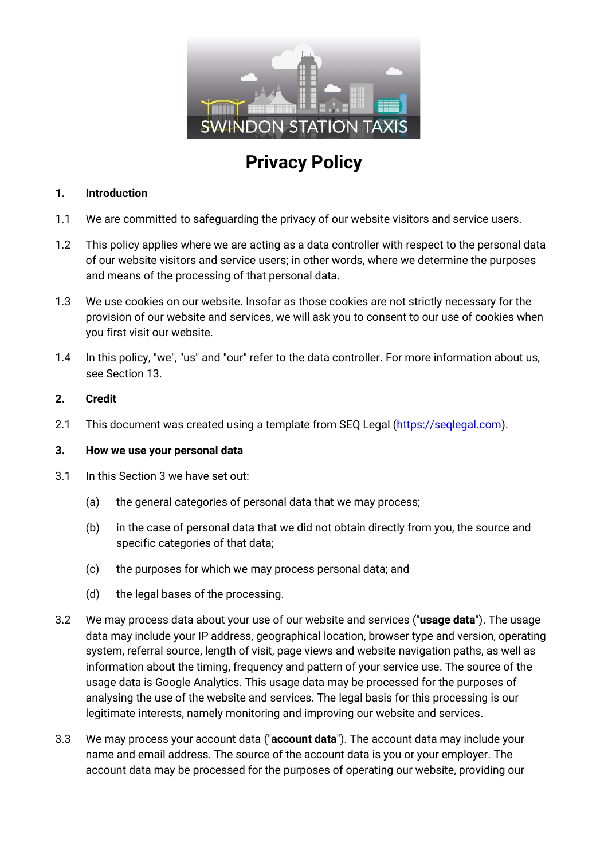

# **Privacy Policy**

#### **1. Introduction**

- 1.1 We are committed to safeguarding the privacy of our website visitors and service users.
- 1.2 This policy applies where we are acting as a data controller with respect to the personal data of our website visitors and service users; in other words, where we determine the purposes and means of the processing of that personal data.
- 1.3 We use cookies on our website. Insofar as those cookies are not strictly necessary for the provision of our website and services, we will ask you to consent to our use of cookies when you first visit our website.
- 1.4 In this policy, "we", "us" and "our" refer to the data controller. For more information about us, see Section 13.

#### **2. Credit**

2.1 This document was created using a template from SEQ Legal [\(https://seqlegal.com\)](https://seqlegal.com/).

#### **3. How we use your personal data**

- 3.1 In this Section 3 we have set out:
	- (a) the general categories of personal data that we may process;
	- (b) in the case of personal data that we did not obtain directly from you, the source and specific categories of that data;
	- (c) the purposes for which we may process personal data; and
	- (d) the legal bases of the processing.
- 3.2 We may process data about your use of our website and services ("**usage data**"). The usage data may include your IP address, geographical location, browser type and version, operating system, referral source, length of visit, page views and website navigation paths, as well as information about the timing, frequency and pattern of your service use. The source of the usage data is Google Analytics. This usage data may be processed for the purposes of analysing the use of the website and services. The legal basis for this processing is our legitimate interests, namely monitoring and improving our website and services.
- 3.3 We may process your account data ("**account data**"). The account data may include your name and email address. The source of the account data is you or your employer. The account data may be processed for the purposes of operating our website, providing our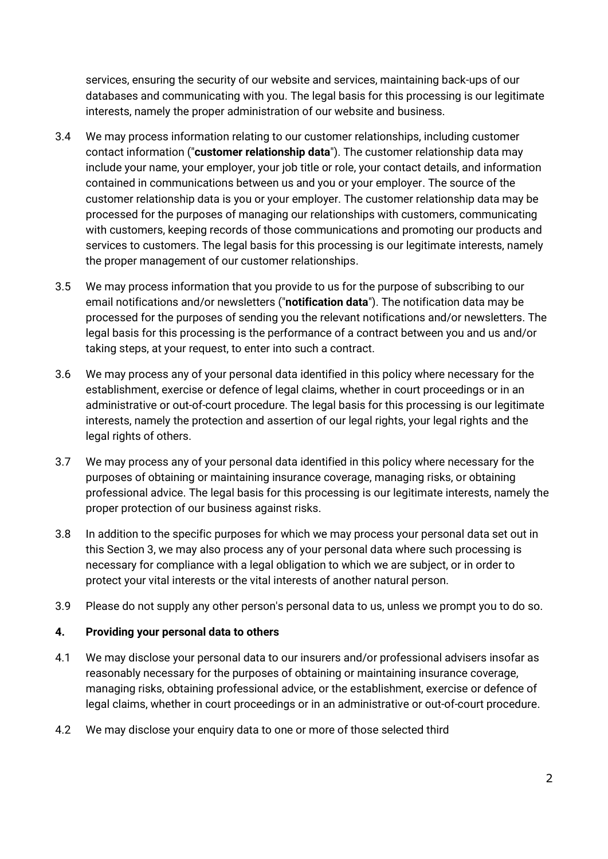services, ensuring the security of our website and services, maintaining back-ups of our databases and communicating with you. The legal basis for this processing is our legitimate interests, namely the proper administration of our website and business.

- 3.4 We may process information relating to our customer relationships, including customer contact information ("**customer relationship data**"). The customer relationship data may include your name, your employer, your job title or role, your contact details, and information contained in communications between us and you or your employer. The source of the customer relationship data is you or your employer. The customer relationship data may be processed for the purposes of managing our relationships with customers, communicating with customers, keeping records of those communications and promoting our products and services to customers. The legal basis for this processing is our legitimate interests, namely the proper management of our customer relationships.
- 3.5 We may process information that you provide to us for the purpose of subscribing to our email notifications and/or newsletters ("**notification data**"). The notification data may be processed for the purposes of sending you the relevant notifications and/or newsletters. The legal basis for this processing is the performance of a contract between you and us and/or taking steps, at your request, to enter into such a contract.
- 3.6 We may process any of your personal data identified in this policy where necessary for the establishment, exercise or defence of legal claims, whether in court proceedings or in an administrative or out-of-court procedure. The legal basis for this processing is our legitimate interests, namely the protection and assertion of our legal rights, your legal rights and the legal rights of others.
- 3.7 We may process any of your personal data identified in this policy where necessary for the purposes of obtaining or maintaining insurance coverage, managing risks, or obtaining professional advice. The legal basis for this processing is our legitimate interests, namely the proper protection of our business against risks.
- 3.8 In addition to the specific purposes for which we may process your personal data set out in this Section 3, we may also process any of your personal data where such processing is necessary for compliance with a legal obligation to which we are subject, or in order to protect your vital interests or the vital interests of another natural person.
- 3.9 Please do not supply any other person's personal data to us, unless we prompt you to do so.

## **4. Providing your personal data to others**

- 4.1 We may disclose your personal data to our insurers and/or professional advisers insofar as reasonably necessary for the purposes of obtaining or maintaining insurance coverage, managing risks, obtaining professional advice, or the establishment, exercise or defence of legal claims, whether in court proceedings or in an administrative or out-of-court procedure.
- 4.2 We may disclose your enquiry data to one or more of those selected third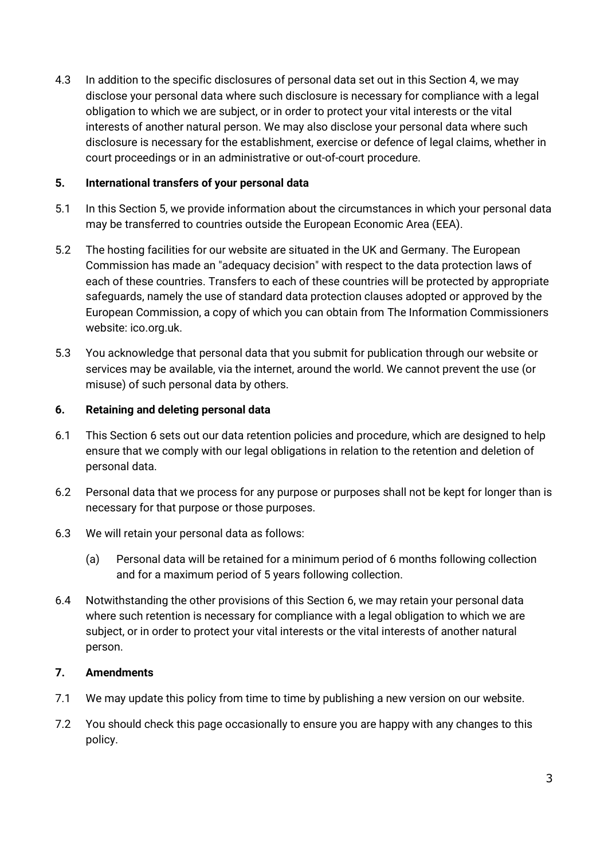4.3 In addition to the specific disclosures of personal data set out in this Section 4, we may disclose your personal data where such disclosure is necessary for compliance with a legal obligation to which we are subject, or in order to protect your vital interests or the vital interests of another natural person. We may also disclose your personal data where such disclosure is necessary for the establishment, exercise or defence of legal claims, whether in court proceedings or in an administrative or out-of-court procedure.

## **5. International transfers of your personal data**

- 5.1 In this Section 5, we provide information about the circumstances in which your personal data may be transferred to countries outside the European Economic Area (EEA).
- 5.2 The hosting facilities for our website are situated in the UK and Germany. The European Commission has made an "adequacy decision" with respect to the data protection laws of each of these countries. Transfers to each of these countries will be protected by appropriate safeguards, namely the use of standard data protection clauses adopted or approved by the European Commission, a copy of which you can obtain from The Information Commissioners website: ico.org.uk.
- 5.3 You acknowledge that personal data that you submit for publication through our website or services may be available, via the internet, around the world. We cannot prevent the use (or misuse) of such personal data by others.

#### **6. Retaining and deleting personal data**

- 6.1 This Section 6 sets out our data retention policies and procedure, which are designed to help ensure that we comply with our legal obligations in relation to the retention and deletion of personal data.
- 6.2 Personal data that we process for any purpose or purposes shall not be kept for longer than is necessary for that purpose or those purposes.
- 6.3 We will retain your personal data as follows:
	- (a) Personal data will be retained for a minimum period of 6 months following collection and for a maximum period of 5 years following collection.
- 6.4 Notwithstanding the other provisions of this Section 6, we may retain your personal data where such retention is necessary for compliance with a legal obligation to which we are subject, or in order to protect your vital interests or the vital interests of another natural person.

## **7. Amendments**

- 7.1 We may update this policy from time to time by publishing a new version on our website.
- 7.2 You should check this page occasionally to ensure you are happy with any changes to this policy.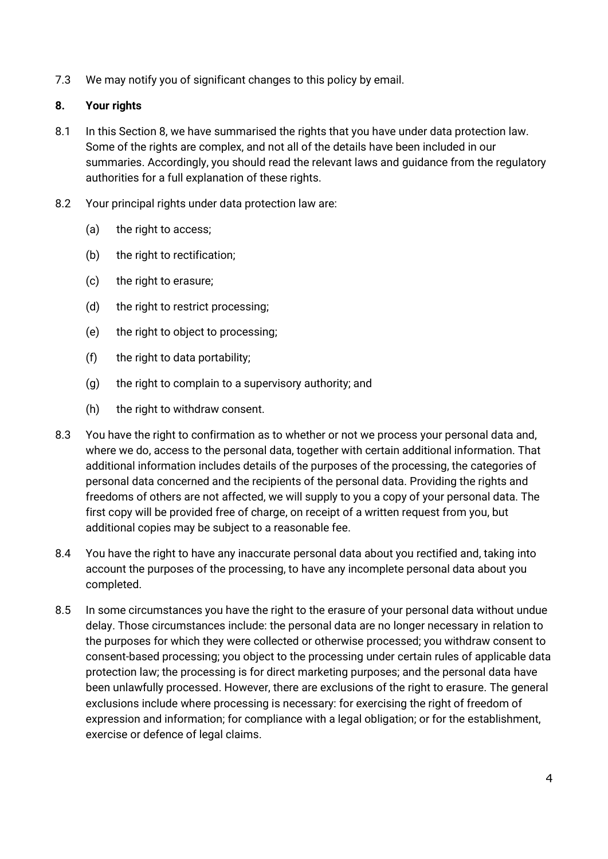7.3 We may notify you of significant changes to this policy by email.

# **8. Your rights**

- 8.1 In this Section 8, we have summarised the rights that you have under data protection law. Some of the rights are complex, and not all of the details have been included in our summaries. Accordingly, you should read the relevant laws and guidance from the regulatory authorities for a full explanation of these rights.
- 8.2 Your principal rights under data protection law are:
	- (a) the right to access;
	- (b) the right to rectification;
	- (c) the right to erasure;
	- (d) the right to restrict processing;
	- (e) the right to object to processing;
	- (f) the right to data portability;
	- (g) the right to complain to a supervisory authority; and
	- (h) the right to withdraw consent.
- 8.3 You have the right to confirmation as to whether or not we process your personal data and, where we do, access to the personal data, together with certain additional information. That additional information includes details of the purposes of the processing, the categories of personal data concerned and the recipients of the personal data. Providing the rights and freedoms of others are not affected, we will supply to you a copy of your personal data. The first copy will be provided free of charge, on receipt of a written request from you, but additional copies may be subject to a reasonable fee.
- 8.4 You have the right to have any inaccurate personal data about you rectified and, taking into account the purposes of the processing, to have any incomplete personal data about you completed.
- 8.5 In some circumstances you have the right to the erasure of your personal data without undue delay. Those circumstances include: the personal data are no longer necessary in relation to the purposes for which they were collected or otherwise processed; you withdraw consent to consent-based processing; you object to the processing under certain rules of applicable data protection law; the processing is for direct marketing purposes; and the personal data have been unlawfully processed. However, there are exclusions of the right to erasure. The general exclusions include where processing is necessary: for exercising the right of freedom of expression and information; for compliance with a legal obligation; or for the establishment, exercise or defence of legal claims.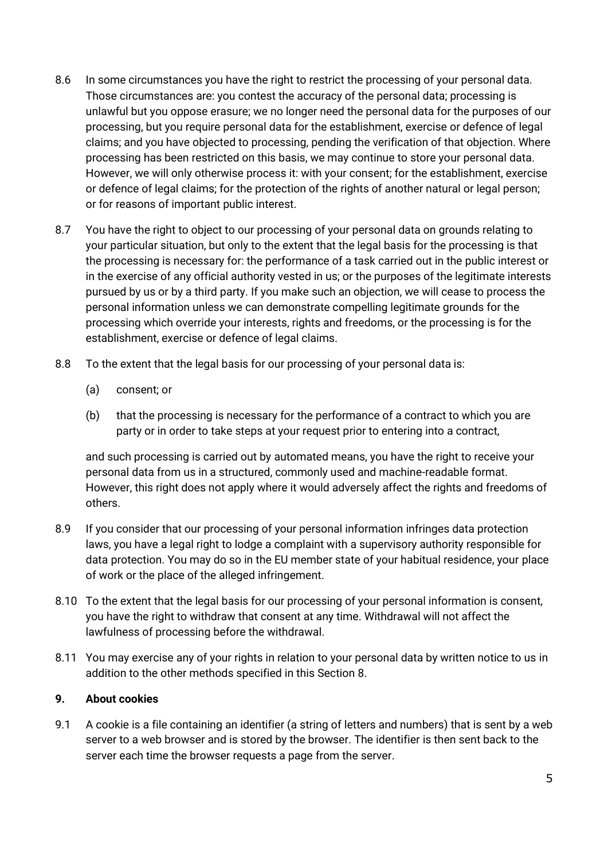- 8.6 In some circumstances you have the right to restrict the processing of your personal data. Those circumstances are: you contest the accuracy of the personal data; processing is unlawful but you oppose erasure; we no longer need the personal data for the purposes of our processing, but you require personal data for the establishment, exercise or defence of legal claims; and you have objected to processing, pending the verification of that objection. Where processing has been restricted on this basis, we may continue to store your personal data. However, we will only otherwise process it: with your consent; for the establishment, exercise or defence of legal claims; for the protection of the rights of another natural or legal person; or for reasons of important public interest.
- 8.7 You have the right to object to our processing of your personal data on grounds relating to your particular situation, but only to the extent that the legal basis for the processing is that the processing is necessary for: the performance of a task carried out in the public interest or in the exercise of any official authority vested in us; or the purposes of the legitimate interests pursued by us or by a third party. If you make such an objection, we will cease to process the personal information unless we can demonstrate compelling legitimate grounds for the processing which override your interests, rights and freedoms, or the processing is for the establishment, exercise or defence of legal claims.
- 8.8 To the extent that the legal basis for our processing of your personal data is:
	- (a) consent; or
	- (b) that the processing is necessary for the performance of a contract to which you are party or in order to take steps at your request prior to entering into a contract,

and such processing is carried out by automated means, you have the right to receive your personal data from us in a structured, commonly used and machine-readable format. However, this right does not apply where it would adversely affect the rights and freedoms of others.

- 8.9 If you consider that our processing of your personal information infringes data protection laws, you have a legal right to lodge a complaint with a supervisory authority responsible for data protection. You may do so in the EU member state of your habitual residence, your place of work or the place of the alleged infringement.
- 8.10 To the extent that the legal basis for our processing of your personal information is consent, you have the right to withdraw that consent at any time. Withdrawal will not affect the lawfulness of processing before the withdrawal.
- 8.11 You may exercise any of your rights in relation to your personal data by written notice to us in addition to the other methods specified in this Section 8.

## **9. About cookies**

9.1 A cookie is a file containing an identifier (a string of letters and numbers) that is sent by a web server to a web browser and is stored by the browser. The identifier is then sent back to the server each time the browser requests a page from the server.